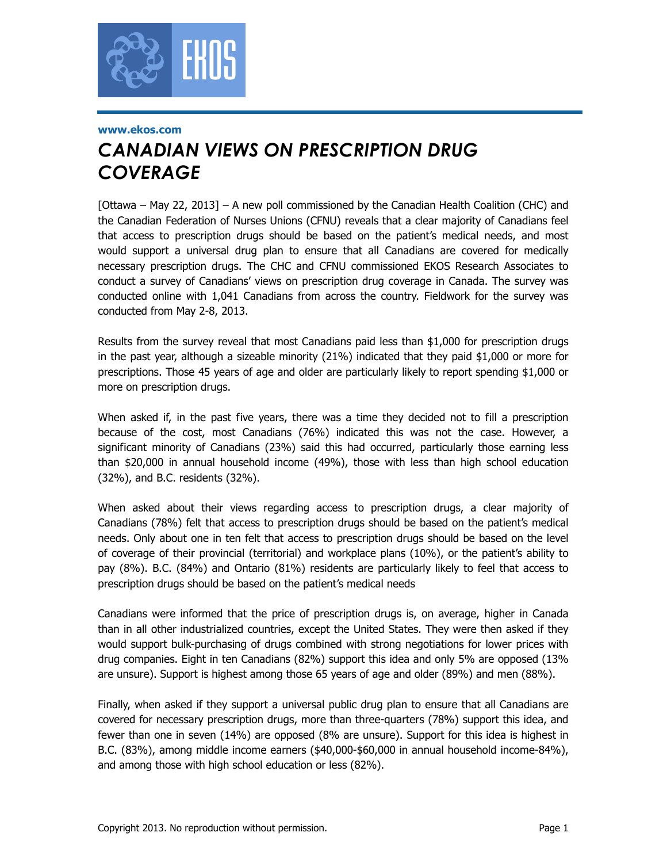

#### **www.ekos.com**

# *CANADIAN VIEWS ON PRESCRIPTION DRUG COVERAGE*

[Ottawa – May 22, 2013] – A new poll commissioned by the Canadian Health Coalition (CHC) and the Canadian Federation of Nurses Unions (CFNU) reveals that a clear majority of Canadians feel that access to prescription drugs should be based on the patient's medical needs, and most would support a universal drug plan to ensure that all Canadians are covered for medically necessary prescription drugs. The CHC and CFNU commissioned EKOS Research Associates to conduct a survey of Canadians' views on prescription drug coverage in Canada. The survey was conducted online with 1,041 Canadians from across the country. Fieldwork for the survey was conducted from May 2-8, 2013.

Results from the survey reveal that most Canadians paid less than \$1,000 for prescription drugs in the past year, although a sizeable minority (21%) indicated that they paid \$1,000 or more for prescriptions. Those 45 years of age and older are particularly likely to report spending \$1,000 or more on prescription drugs.

When asked if, in the past five years, there was a time they decided not to fill a prescription because of the cost, most Canadians (76%) indicated this was not the case. However, a significant minority of Canadians (23%) said this had occurred, particularly those earning less than \$20,000 in annual household income (49%), those with less than high school education (32%), and B.C. residents (32%).

When asked about their views regarding access to prescription drugs, a clear majority of Canadians (78%) felt that access to prescription drugs should be based on the patient's medical needs. Only about one in ten felt that access to prescription drugs should be based on the level of coverage of their provincial (territorial) and workplace plans (10%), or the patient's ability to pay (8%). B.C. (84%) and Ontario (81%) residents are particularly likely to feel that access to prescription drugs should be based on the patient's medical needs

Canadians were informed that the price of prescription drugs is, on average, higher in Canada than in all other industrialized countries, except the United States. They were then asked if they would support bulk-purchasing of drugs combined with strong negotiations for lower prices with drug companies. Eight in ten Canadians (82%) support this idea and only 5% are opposed (13% are unsure). Support is highest among those 65 years of age and older (89%) and men (88%).

Finally, when asked if they support a universal public drug plan to ensure that all Canadians are covered for necessary prescription drugs, more than three-quarters (78%) support this idea, and fewer than one in seven (14%) are opposed (8% are unsure). Support for this idea is highest in B.C. (83%), among middle income earners (\$40,000-\$60,000 in annual household income-84%), and among those with high school education or less (82%).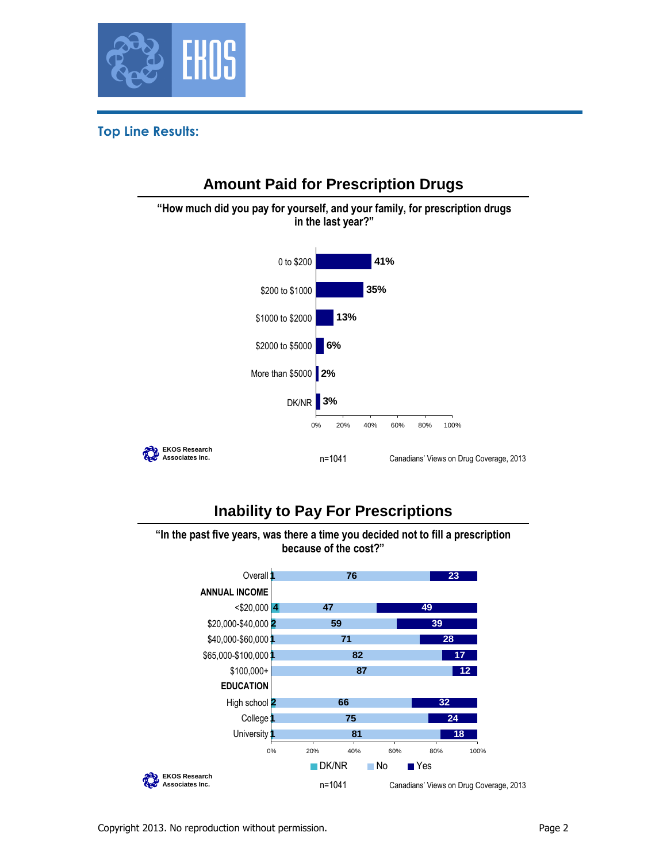

#### **Top Line Results:**



## **Inability to Pay For Prescriptions**

**"In the past five years, was there a time you decided not to fill a prescription because of the cost?"**

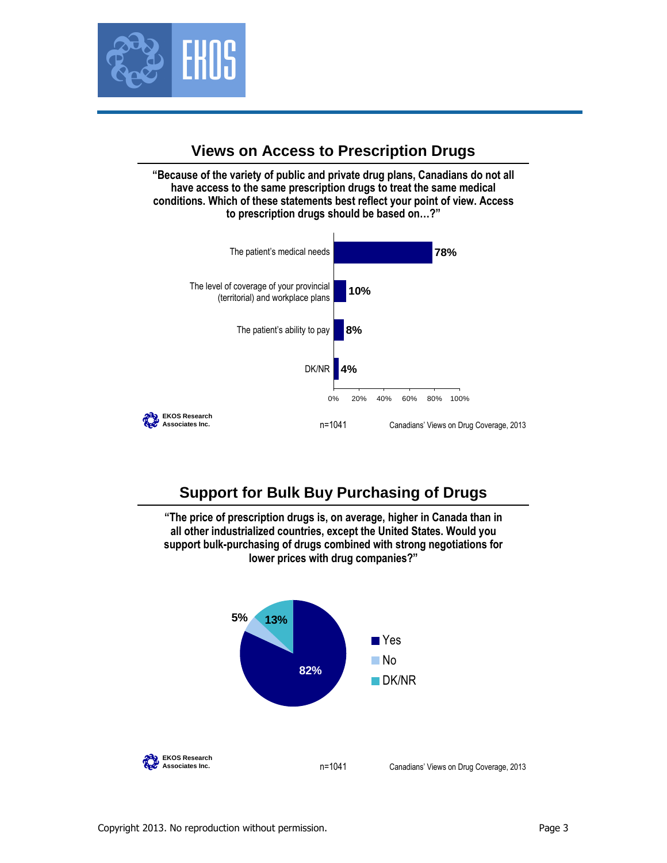

### **Views on Access to Prescription Drugs**

**"Because of the variety of public and private drug plans, Canadians do not all have access to the same prescription drugs to treat the same medical conditions. Which of these statements best reflect your point of view. Access to prescription drugs should be based on…?"**



## **Support for Bulk Buy Purchasing of Drugs**